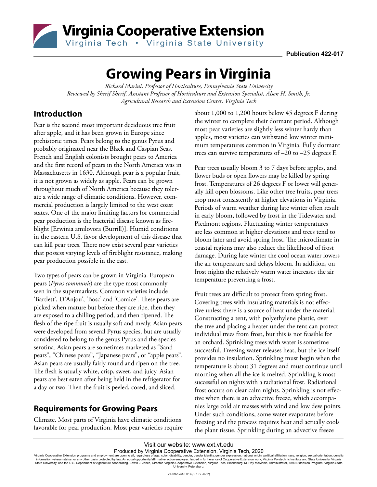

**Publication 422-017**

# **Growing Pears in Virginia**

*Richard Marini, Professor of Horticulture, Pennsylvania State University Reviewed by Sherif Sherif, Assistant Professor of Horticulture and Extension Specialist, Alson H. Smith, Jr. Agricultural Research and Extension Center, Virginia Tech* 

### **Introduction**

Pear is the second most important deciduous tree fruit after apple, and it has been grown in Europe since prehistoric times. Pears belong to the genus Pyrus and probably originated near the Black and Caspian Seas. French and English colonists brought pears to America and the first record of pears in the North America was in Massachusetts in 1630. Although pear is a popular fruit, it is not grown as widely as apple. Pears can be grown throughout much of North America because they tolerate a wide range of climatic conditions. However, commercial production is largely limited to the west coast states. One of the major limiting factors for commercial pear production is the bacterial disease known as fireblight [Erwinia amilovora (Burrill)]. Humid conditions in the eastern U.S. favor development of this disease that can kill pear trees. There now exist several pear varieties that possess varying levels of fireblight resistance, making pear production possible in the east.

Two types of pears can be grown in Virginia. European pears (*Pyrus communis*) are the type most commonly seen in the supermarkets. Common varieties include 'Bartlett', D'Anjou', 'Bosc' and 'Comice'. These pears are picked when mature but before they are ripe, then they are exposed to a chilling period, and then ripened. The flesh of the ripe fruit is usually soft and mealy. Asian pears were developed from several Pyrus species, but are usually considered to belong to the genus Pyrus and the species serotina. Asian pears are sometimes marketed as "Sand pears", "Chinese pears", "Japanese pears", or "apple pears". Asian pears are usually fairly round and ripen on the tree. The flesh is usually white, crisp, sweet, and juicy. Asian pears are best eaten after being held in the refrigerator for a day or two. Then the fruit is peeled, cored, and sliced.

### **Requirements for Growing Pears**

Climate. Most parts of Virginia have climatic conditions favorable for pear production. Most pear varieties require about 1,000 to 1,200 hours below 45 degrees F during the winter to complete their dormant period. Although most pear varieties are slightly less winter hardy than apples, most varieties can withstand low winter minimum temperatures common in Virginia. Fully dormant trees can survive temperatures of –20 to –25 degrees F.

Pear trees usually bloom 3 to 7 days before apples, and flower buds or open flowers may be killed by spring frost. Temperatures of 26 degrees F or lower will generally kill open blossoms. Like other tree fruits, pear trees crop most consistently at higher elevations in Virginia. Periods of warm weather during late winter often result in early bloom, followed by frost in the Tidewater and Piedmont regions. Fluctuating winter temperatures are less common at higher elevations and trees tend to bloom later and avoid spring frost. The microclimate in coastal regions may also reduce the likelihood of frost damage. During late winter the cool ocean water lowers the air temperature and delays bloom. In addition, on frost nights the relatively warm water increases the air temperature preventing a frost.

Fruit trees are difficult to protect from spring frost. Covering trees with insulating materials is not effective unless there is a source of heat under the material. Constructing a tent, with polyethylene plastic, over the tree and placing a heater under the tent can protect individual trees from frost, but this is not feasible for an orchard. Sprinkling trees with water is sometime successful. Freezing water releases heat, but the ice itself provides no insulation. Sprinkling must begin when the temperature is about 31 degrees and must continue until morning when all the ice is melted. Sprinkling is most successful on nights with a radiational frost. Radiational frost occurs on clear calm nights. Sprinkling is not effective when there is an advective freeze, which accompanies large cold air masses with wind and low dew points. Under such conditions, some water evaporates before freezing and the process requires heat and actually cools the plant tissue. Sprinkling during an advective freeze

Visit our website: www.ext.vt.edu Produced by Virginia Cooperative Extension, Virginia Tech, 2020

Virginia Cooperative Extension programs and employment are open to all, regardless of age, color, disability, gender, gender identity, gender expression, national origin, political affiliation, race, religion, sexual orien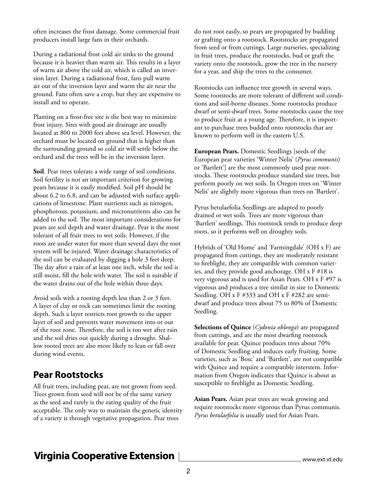often increases the frost damage. Some commercial fruit producers install large fans in their orchards.

During a radiational frost cold air sinks to the ground because it is heavier than warm air. This results in a layer of warm air above the cold air, which is called an inversion layer. During a radiational frost, fans pull warm air out of the inversion layer and warm the air near the ground. Fans often save a crop, but they are expensive to install and to operate.

Planting on a frost-free site is the best way to minimize frost injury. Sites with good air drainage are usually located at 800 to 2000 feet above sea level. However, the orchard must be located on ground that is higher than the surrounding ground so cold air will settle below the orchard and the trees will be in the inversion layer.

**Soil**. Pear trees tolerate a wide range of soil conditions. Soil fertility is not an important criterion for growing pears because it is easily modified. Soil pH should be about 6.2 to 6.8, and can be adjusted with surface applications of limestone. Plant nutrients such as nitrogen, phosphorous, potassium, and micronutrients also can be added to the soil. The most important considerations for pears are soil depth and water drainage. Pear is the most tolerant of all fruit trees to wet soils. However, if the roots are under water for more than several days the root system will be injured. Water drainage characteristics of the soil can be evaluated by digging a hole 3 feet deep. The day after a rain of at least one inch, while the soil is still moist, fill the hole with water. The soil is suitable if the water drains out of the hole within three days.

Avoid soils with a rooting depth less than 2 or 3 feet. A layer of clay or rock can sometimes limit the rooting depth. Such a layer restricts root growth to the upper layer of soil and prevents water movement into or out of the root zone. Therefore, the soil is too wet after rain and the soil dries out quickly during a drought. Shallow rooted trees are also more likely to lean or fall over during wind events.

### **Pear Rootstocks**

All fruit trees, including pear, are not grown from seed. Trees grown from seed will not be of the same variety as the seed and rarely is the eating quality of the fruit acceptable. The only way to maintain the genetic identity of a variety is through vegetative propagation. Pear trees

do not root easily, so pears are propagated by budding or grafting onto a rootstock. Rootstocks are propagated from seed or from cuttings. Large nurseries, specializing in fruit trees, produce the rootstocks, bud or graft the variety onto the rootstock, grow the tree in the nursery for a year, and ship the trees to the consumer.

Rootstocks can influence tree growth in several ways. Some rootstocks are more tolerant of different soil conditions and soil-borne diseases. Some rootstocks produce dwarf or semi-dwarf trees. Some rootstocks cause the tree to produce fruit at a young age. Therefore, it is important to purchase trees budded onto rootstocks that are known to perform well in the eastern U.S.

**European Pears.** Domestic Seedlings [seeds of the European pear varieties 'Winter Nelis' (*Pyrus communis*) or 'Bartlett'] are the most commonly used pear rootstocks. These rootstocks produce standard size trees, but perform poorly on wet soils. In Oregon trees on 'Winter Nelis' are slightly more vigorous than trees on 'Bartlett'.

Pyrus betulaefolia Seedlings are adapted to poorly drained or wet soils. Trees are more vigorous than 'Bartlett' seedlings. This rootstock tends to produce deep roots, so it performs well on droughty soils.

Hybrids of 'Old Home' and 'Farmingdale' (OH x F) are propagated from cuttings, they are moderately resistant to fireblight, they are compatible with common varieties, and they provide good anchorage. OH x F #18 is very vigorous and is used for Asian Pears. OH x F #97 is vigorous and produces a tree similar in size to Domestic Seedling. OH x F #333 and OH x F #282 are semidwarf and produce trees about 75 to 80% of Domestic Seedling.

**Selections of Quince** (*Cydonia oblonga*) are propagated from cuttings, and are the most dwarfing rootstock available for pear. Quince produces trees about 70% of Domestic Seedling and induces early fruiting. Some varieties, such as 'Bosc' and 'Bartlett', are not compatible with Quince and require a compatible interstem. Information from Oregon indicates that Quince is about as susceptible to fireblight as Domestic Seedling.

**Asian Pears.** Asian pear trees are weak growing and require rootstocks more vigorous than Pyrus communis. *Pyrus betulaefolia* is usually used for Asian Pears.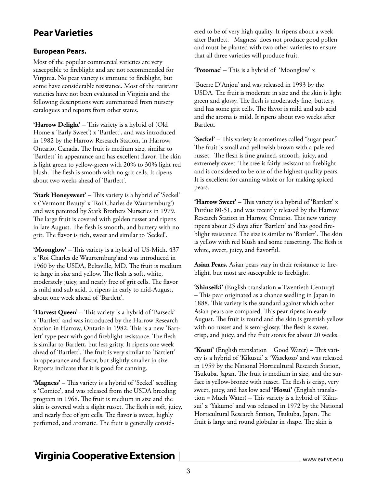### **Pear Varieties**

#### **European Pears.**

Most of the popular commercial varieties are very susceptible to fireblight and are not recommended for Virginia. No pear variety is immune to fireblight, but some have considerable resistance. Most of the resistant varieties have not been evaluated in Virginia and the following descriptions were summarized from nursery catalogues and reports from other states.

**'Harrow Delight'** – This variety is a hybrid of (Old Home x 'Early Sweet') x 'Bartlett', and was introduced in 1982 by the Harrow Research Station, in Harrow, Ontario, Canada. The fruit is medium size, similar to 'Bartlett' in appearance and has excellent flavor. The skin is light green to yellow-green with 20% to 30% light red blush. The flesh is smooth with no grit cells. It ripens about two weeks ahead of 'Bartlett'.

**'Stark Honeysweet'** – This variety is a hybrid of 'Seckel' x ('Vermont Beauty' x 'Roi Charles de Waurtemburg') and was patented by Stark Brothers Nurseries in 1979. The large fruit is covered with golden russet and ripens in late August. The flesh is smooth, and buttery with no grit. The flavor is rich, sweet and similar to 'Seckel'.

**'Moonglow'** – This variety is a hybrid of US-Mich. 437 x 'Roi Charles de Waurtemburg'and was introduced in 1960 by the USDA, Beltsville, MD. The fruit is medium to large in size and yellow. The flesh is soft, white, moderately juicy, and nearly free of grit cells. The flavor is mild and sub acid. It ripens in early to mid-August, about one week ahead of 'Bartlett'.

**'Harvest Queen'** – This variety is a hybrid of 'Barseck' x 'Bartlett' and was introduced by the Harrow Research Station in Harrow, Ontario in 1982. This is a new 'Bartlett' type pear with good fireblight resistance. The flesh is similar to Bartlett, but less gritty. It ripens one week ahead of 'Bartlett'. The fruit is very similar to 'Bartlett' in appearance and flavor, but slightly smaller in size. Reports indicate that it is good for canning.

**'Magness'** – This variety is a hybrid of 'Seckel' seedling x 'Comice', and was released from the USDA breeding program in 1968. The fruit is medium in size and the skin is covered with a slight russet. The flesh is soft, juicy, and nearly free of grit cells. The flavor is sweet, highly perfumed, and aromatic. The fruit is generally considered to be of very high quality. It ripens about a week after Bartlett. 'Magness' does not produce good pollen and must be planted with two other varieties to ensure that all three varieties will produce fruit.

**'Potomac'** – This is a hybrid of 'Moonglow' x

'Buerre D'Anjou' and was released in 1993 by the USDA. The fruit is moderate in size and the skin is light green and glossy. The flesh is moderately fine, buttery, and has some grit cells. The flavor is mild and sub acid and the aroma is mild. It ripens about two weeks after Bartlett.

**'Seckel'** – This variety is sometimes called "sugar pear." The fruit is small and yellowish brown with a pale red russet. The flesh is fine grained, smooth, juicy, and extremely sweet. The tree is fairly resistant to fireblight and is considered to be one of the highest quality pears. It is excellent for canning whole or for making spiced pears.

**'Harrow Sweet'** – This variety is a hybrid of 'Bartlett' x Purdue 80-51, and was recently released by the Harrow Research Station in Harrow, Ontario. This new variety ripens about 25 days after 'Bartlett' and has good fireblight resistance. The size is similar to 'Bartlett'. The skin is yellow with red blush and some russetting. The flesh is white, sweet, juicy, and flavorful.

**Asian Pears.** Asian pears vary in their resistance to fireblight, but most are susceptible to fireblight.

**'Shinseiki'** (English translation = Twentieth Century) – This pear originated as a chance seedling in Japan in 1888. This variety is the standard against which other Asian pears are compared. This pear ripens in early August. The fruit is round and the skin is greenish yellow with no russet and is semi-glossy. The flesh is sweet, crisp, and juicy, and the fruit stores for about 20 weeks.

**'Kosui'** (English translation = Good Water) – This variety is a hybrid of 'Kikusui' x 'Wasekozo' and was released in 1959 by the National Horticultural Research Station, Tsukuba, Japan. The fruit is medium in size, and the surface is yellow-bronze with russet. The flesh is crisp, very sweet, juicy, and has low acid **'Hosui'** (English translation = Much Water) – This variety is a hybrid of 'Kikusui' x 'Yakumo' and was released in 1972 by the National Horticultural Research Station, Tsukuba, Japan. The fruit is large and round globular in shape. The skin is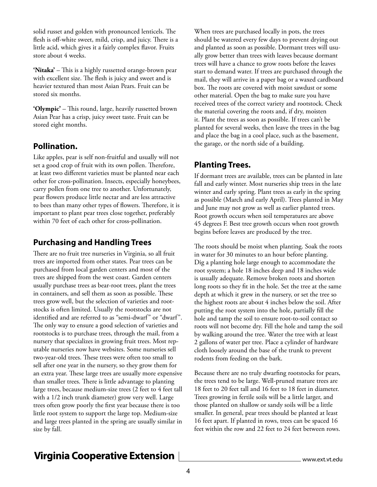solid russet and golden with pronounced lenticels. The flesh is off-white sweet, mild, crisp, and juicy. There is a little acid, which gives it a fairly complex flavor. Fruits store about 4 weeks.

**'Nitaka'** – This is a highly russetted orange-brown pear with excellent size. The flesh is juicy and sweet and is heavier textured than most Asian Pears. Fruit can be stored six months.

**'Olympic'** – This round, large, heavily russetted brown Asian Pear has a crisp, juicy sweet taste. Fruit can be stored eight months.

### **Pollination.**

Like apples, pear is self non-fruitful and usually will not set a good crop of fruit with its own pollen. Therefore, at least two different varieties must be planted near each other for cross-pollination. Insects, especially honeybees, carry pollen from one tree to another. Unfortunately, pear flowers produce little nectar and are less attractive to bees than many other types of flowers. Therefore, it is important to plant pear trees close together, preferably within 70 feet of each other for cross-pollination.

### **Purchasing and Handling Trees**

There are no fruit tree nurseries in Virginia, so all fruit trees are imported from other states. Pear trees can be purchased from local garden centers and most of the trees are shipped from the west coast. Garden centers usually purchase trees as bear-root trees, plant the trees in containers, and sell them as soon as possible. These trees grow well, but the selection of varieties and rootstocks is often limited. Usually the rootstocks are not identified and are referred to as "semi-dwarf" or "dwarf". The only way to ensure a good selection of varieties and rootstocks is to purchase trees, through the mail, from a nursery that specializes in growing fruit trees. Most reputable nurseries now have websites. Some nurseries sell two-year-old trees. These trees were often too small to sell after one year in the nursery, so they grow them for an extra year. These large trees are usually more expensive than smaller trees. There is little advantage to planting large trees, because medium-size trees (2 feet to 4 feet tall with a 1/2 inch trunk diameter) grow very well. Large trees often grow poorly the first year because there is too little root system to support the large top. Medium-size and large trees planted in the spring are usually similar in size by fall.

When trees are purchased locally in pots, the trees should be watered every few days to prevent drying out and planted as soon as possible. Dormant trees will usually grow better than trees with leaves because dormant trees will have a chance to grow roots before the leaves start to demand water. If trees are purchased through the mail, they will arrive in a paper bag or a waxed cardboard box. The roots are covered with moist sawdust or some other material. Open the bag to make sure you have received trees of the correct variety and rootstock. Check the material covering the roots and, if dry, moisten it. Plant the trees as soon as possible. If trees can't be planted for several weeks, then leave the trees in the bag and place the bag in a cool place, such as the basement, the garage, or the north side of a building.

### **Planting Trees.**

If dormant trees are available, trees can be planted in late fall and early winter. Most nurseries ship trees in the late winter and early spring. Plant trees as early in the spring as possible (March and early April). Trees planted in May and June may not grow as well as earlier planted trees. Root growth occurs when soil temperatures are above 45 degrees F. Best tree growth occurs when root growth begins before leaves are produced by the tree.

The roots should be moist when planting. Soak the roots in water for 30 minutes to an hour before planting. Dig a planting hole large enough to accommodate the root system; a hole 18 inches deep and 18 inches wide is usually adequate. Remove broken roots and shorten long roots so they fit in the hole. Set the tree at the same depth at which it grew in the nursery, or set the tree so the highest roots are about 4 inches below the soil. After putting the root system into the hole, partially fill the hole and tamp the soil to ensure root-to-soil contact so roots will not become dry. Fill the hole and tamp the soil by walking around the tree. Water the tree with at least 2 gallons of water per tree. Place a cylinder of hardware cloth loosely around the base of the trunk to prevent rodents from feeding on the bark.

Because there are no truly dwarfing rootstocks for pears, the trees tend to be large. Well-pruned mature trees are 18 feet to 20 feet tall and 16 feet to 18 feet in diameter. Trees growing in fertile soils will be a little larger, and those planted on shallow or sandy soils will be a little smaller. In general, pear trees should be planted at least 16 feet apart. If planted in rows, trees can be spaced 16 feet within the row and 22 feet to 24 feet between rows.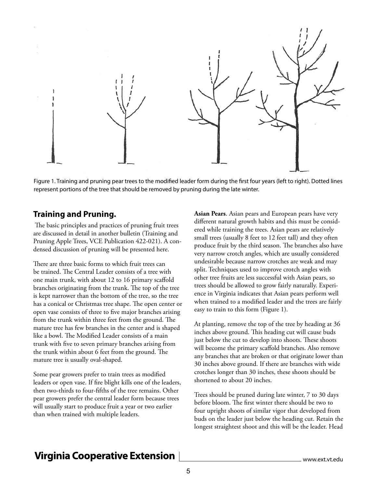

Figure 1. Training and pruning pear trees to the modified leader form during the first four years (left to right). Dotted lines represent portions of the tree that should be removed by pruning during the late winter.

### **Training and Pruning.**

 The basic principles and practices of pruning fruit trees are discussed in detail in another bulletin (Training and Pruning Apple Trees, VCE Publication 422-021). A condensed discussion of pruning will be presented here.

There are three basic forms to which fruit trees can be trained. The Central Leader consists of a tree with one main trunk, with about 12 to 16 primary scaffold branches originating from the trunk. The top of the tree is kept narrower than the bottom of the tree, so the tree has a conical or Christmas tree shape. The open center or open vase consists of three to five major branches arising from the trunk within three feet from the ground. The mature tree has few branches in the center and is shaped like a bowl. The Modified Leader consists of a main trunk with five to seven primary branches arising from the trunk within about 6 feet from the ground. The mature tree is usually oval-shaped.

Some pear growers prefer to train trees as modified leaders or open vase. If fire blight kills one of the leaders, then two-thirds to four-fifths of the tree remains. Other pear growers prefer the central leader form because trees will usually start to produce fruit a year or two earlier than when trained with multiple leaders.

**Asian Pears**. Asian pears and European pears have very different natural growth habits and this must be considered while training the trees. Asian pears are relatively small trees (usually 8 feet to 12 feet tall) and they often produce fruit by the third season. The branches also have very narrow crotch angles, which are usually considered undesirable because narrow crotches are weak and may split. Techniques used to improve crotch angles with other tree fruits are less successful with Asian pears, so trees should be allowed to grow fairly naturally. Experience in Virginia indicates that Asian pears perform well when trained to a modified leader and the trees are fairly easy to train to this form (Figure 1).

At planting, remove the top of the tree by heading at 36 inches above ground. This heading cut will cause buds just below the cut to develop into shoots. These shoots will become the primary scaffold branches. Also remove any branches that are broken or that originate lower than 30 inches above ground. If there are branches with wide crotches longer than 30 inches, these shoots should be shortened to about 20 inches.

Trees should be pruned during late winter, 7 to 30 days before bloom. The first winter there should be two to four upright shoots of similar vigor that developed from buds on the leader just below the heading cut. Retain the longest straightest shoot and this will be the leader. Head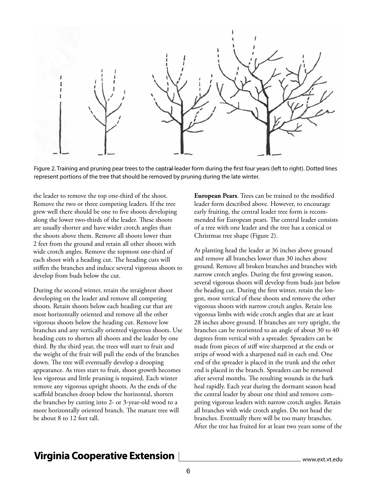

Figure 2. Training and pruning pear trees to the central leader form during the first four years (left to right). Dotted lines represent portions of the tree that should be removed by pruning during the late winter.

the leader to remove the top one-third of the shoot. Remove the two or three competing leaders. If the tree grew well there should be one to five shoots developing along the lower two-thirds of the leader. These shoots are usually shorter and have wider crotch angles than the shoots above them. Remove all shoots lower than 2 feet from the ground and retain all other shoots with wide crotch angles. Remove the topmost one-third of each shoot with a heading cut. The heading cuts will stiffen the branches and induce several vigorous shoots to develop from buds below the cut.

During the second winter, retain the straightest shoot developing on the leader and remove all competing shoots. Retain shoots below each heading cut that are most horizontally oriented and remove all the other vigorous shoots below the heading cut. Remove low branches and any vertically oriented vigorous shoots. Use heading cuts to shorten all shoots and the leader by one third. By the third year, the trees will start to fruit and the weight of the fruit will pull the ends of the branches down. The tree will eventually develop a drooping appearance. As trees start to fruit, shoot growth becomes less vigorous and little pruning is required. Each winter remove any vigorous upright shoots. As the ends of the scaffold branches droop below the horizontal, shorten the branches by cutting into 2- or 3-year-old wood to a more horizontally oriented branch. The mature tree will be about 8 to 12 feet tall.

**European Pears**. Trees can be trained to the modified leader form described above. However, to encourage early fruiting, the central leader tree form is recommended for European pears. The central leader consists of a tree with one leader and the tree has a conical or Christmas tree shape (Figure 2).

At planting head the leader at 36 inches above ground and remove all branches lower than 30 inches above ground. Remove all broken branches and branches with narrow crotch angles. During the first growing season, several vigorous shoots will develop from buds just below the heading cut. During the first winter, retain the longest, most vertical of these shoots and remove the other vigorous shoots with narrow crotch angles. Retain less vigorous limbs with wide crotch angles that are at least 28 inches above ground. If branches are very upright, the branches can be reoriented to an angle of about 30 to 40 degrees from vertical with a spreader. Spreaders can be made from pieces of stiff wire sharpened at the ends or strips of wood with a sharpened nail in each end. One end of the spreader is placed in the trunk and the other end is placed in the branch. Spreaders can be removed after several months. The resulting wounds in the bark heal rapidly. Each year during the dormant season head the central leader by about one third and remove competing vigorous leaders with narrow crotch angles. Retain all branches with wide crotch angles. Do not head the branches. Eventually there will be too many branches. After the tree has fruited for at least two years some of the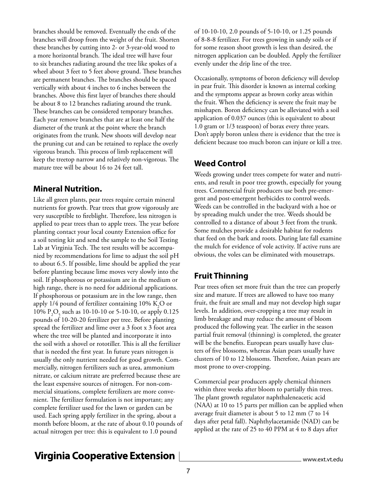branches should be removed. Eventually the ends of the branches will droop from the weight of the fruit. Shorten these branches by cutting into 2- or 3-year-old wood to a more horizontal branch. The ideal tree will have four to six branches radiating around the tree like spokes of a wheel about 3 feet to 5 feet above ground. These branches are permanent branches. The branches should be spaced vertically with about 4 inches to 6 inches between the branches. Above this first layer of branches there should be about 8 to 12 branches radiating around the trunk. These branches can be considered temporary branches. Each year remove branches that are at least one half the diameter of the trunk at the point where the branch originates from the trunk. New shoots will develop near the pruning cut and can be retained to replace the overly vigorous branch. This process of limb replacement will keep the treetop narrow and relatively non-vigorous. The mature tree will be about 16 to 24 feet tall.

#### **Mineral Nutrition.**

Like all green plants, pear trees require certain mineral nutrients for growth. Pear trees that grow vigorously are very susceptible to fireblight. Therefore, less nitrogen is applied to pear trees than to apple trees. The year before planting contact your local county Extension office for a soil testing kit and send the sample to the Soil Testing Lab at Virginia Tech. The test results will be accompanied by recommendations for lime to adjust the soil pH to about 6.5. If possible, lime should be applied the year before planting because lime moves very slowly into the soil. If phosphorous or potassium are in the medium or high range, there is no need for additional applications. If phosphorous or potassium are in the low range, then apply 1/4 pound of fertilizer containing 10%  $\text{K}_{2}\text{O}$  or 10%  $P_2O_5$  such as 10-10-10 or 5-10-10, or apply 0.125 pounds of 10-20-20 fertilizer per tree. Before planting spread the fertilizer and lime over a 3 foot x 3 foot area where the tree will be planted and incorporate it into the soil with a shovel or rototiller. This is all the fertilizer that is needed the first year. In future years nitrogen is usually the only nutrient needed for good growth. Commercially, nitrogen fertilizers such as urea, ammonium nitrate, or calcium nitrate are preferred because these are the least expensive sources of nitrogen. For non-commercial situations, complete fertilizers are more convenient. The fertilizer formulation is not important; any complete fertilizer used for the lawn or garden can be used. Each spring apply fertilizer in the spring, about a month before bloom, at the rate of about 0.10 pounds of actual nitrogen per tree: this is equivalent to 1.0 pound

of 10-10-10, 2.0 pounds of 5-10-10, or 1.25 pounds of 8-8-8 fertilizer. For trees growing in sandy soils or if for some reason shoot growth is less than desired, the nitrogen application can be doubled. Apply the fertilizer evenly under the drip line of the tree.

Occasionally, symptoms of boron deficiency will develop in pear fruit. This disorder is known as internal corking and the symptoms appear as brown corky areas within the fruit. When the deficiency is severe the fruit may be misshapen. Boron deficiency can be alleviated with a soil application of 0.037 ounces (this is equivalent to about 1.0 gram or 1/3 teaspoon) of borax every three years. Don't apply boron unless there is evidence that the tree is deficient because too much boron can injure or kill a tree.

### **Weed Control**

Weeds growing under trees compete for water and nutrients, and result in poor tree growth, especially for young trees. Commercial fruit producers use both pre-emergent and post-emergent herbicides to control weeds. Weeds can be controlled in the backyard with a hoe or by spreading mulch under the tree. Weeds should be controlled to a distance of about 3 feet from the trunk. Some mulches provide a desirable habitat for rodents that feed on the bark and roots. During late fall examine the mulch for evidence of vole activity. If active runs are obvious, the voles can be eliminated with mousetraps.

### **Fruit Thinning**

Pear trees often set more fruit than the tree can properly size and mature. If trees are allowed to have too many fruit, the fruit are small and may not develop high sugar levels. In addition, over-cropping a tree may result in limb breakage and may reduce the amount of bloom produced the following year. The earlier in the season partial fruit removal (thinning) is completed, the greater will be the benefits. European pears usually have clusters of five blossoms, whereas Asian pears usually have clusters of 10 to 12 blossoms. Therefore, Asian pears are most prone to over-cropping.

Commercial pear producers apply chemical thinners within three weeks after bloom to partially thin trees. The plant growth regulator naphthaleneacetic acid (NAA) at 10 to 15 parts per million can be applied when average fruit diameter is about 5 to 12 mm (7 to 14 days after petal fall). Naphthylacetamide (NAD) can be applied at the rate of 25 to 40 PPM at 4 to 8 days after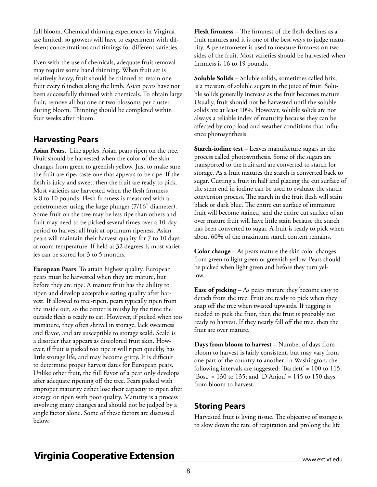full bloom. Chemical thinning experiences in Virginia are limited, so growers will have to experiment with different concentrations and timings for different varieties.

Even with the use of chemicals, adequate fruit removal may require some hand thinning. When fruit set is relatively heavy, fruit should be thinned to retain one fruit every 6 inches along the limb. Asian pears have not been successfully thinned with chemicals. To obtain large fruit, remove all but one or two blossoms per cluster during bloom. Thinning should be completed within four weeks after bloom.

### **Harvesting Pears**

**Asian Pears**. Like apples, Asian pears ripen on the tree. Fruit should be harvested when the color of the skin changes from green to greenish yellow. Just to make sure the fruit are ripe, taste one that appears to be ripe. If the flesh is juicy and sweet, then the fruit are ready to pick. Most varieties are harvested when the flesh firmness is 8 to 10 pounds. Flesh firmness is measured with a penetrometer using the large plunger (7/16" diameter). Some fruit on the tree may be less ripe than others and fruit may need to be picked several times over a 10-day period to harvest all fruit at optimum ripeness. Asian pears will maintain their harvest quality for 7 to 10 days at room temperature. If held at 32 degrees F, most varieties can be stored for 3 to 5 months.

**European Pears**. To attain highest quality, European pears must be harvested when they are mature, but before they are ripe. A mature fruit has the ability to ripen and develop acceptable eating quality after harvest. If allowed to tree-ripen, pears typically ripen from the inside out, so the center is mushy by the time the outside flesh is ready to eat. However, if picked when too immature, they often shrivel in storage, lack sweetness and flavor, and are susceptible to storage scald. Scald is a disorder that appears as discolored fruit skin. However, if fruit is picked too ripe it will ripen quickly, has little storage life, and may become gritty. It is difficult to determine proper harvest dates for European pears. Unlike other fruit, the full flavor of a pear only develops after adequate ripening off the tree. Pears picked with improper maturity either lose their capacity to ripen after storage or ripen with poor quality. Maturity is a process involving many changes and should not be judged by a single factor alone. Some of these factors are discussed below.

**Flesh firmness** – The firmness of the flesh declines as a fruit matures and it is one of the best ways to judge maturity. A penetrometer is used to measure firmness on two sides of the fruit. Most varieties should be harvested when firmness is 16 to 19 pounds.

**Soluble Solids** – Soluble solids, sometimes called brix, is a measure of soluble sugars in the juice of fruit. Soluble solids generally increase as the fruit becomes mature. Usually, fruit should not be harvested until the soluble solids are at least 10%. However, soluble solids are not always a reliable index of maturity because they can be affected by crop load and weather conditions that influence photosynthesis.

**Starch-iodine test** – Leaves manufacture sugars in the process called photosynthesis. Some of the sugars are transported to the fruit and are converted to starch for storage. As a fruit matures the starch is converted back to sugar. Cutting a fruit in half and placing the cut surface of the stem end in iodine can be used to evaluate the starch conversion process. The starch in the fruit flesh will stain black or dark blue. The entire cut surface of immature fruit will become stained, and the entire cut surface of an over mature fruit will have little stain because the starch has been converted to sugar. A fruit is ready to pick when about 60% of the maximum starch content remains.

**Color change** – As pears mature the skin color changes from green to light green or greenish yellow. Pears should be picked when light green and before they turn yellow.

**Ease of picking** – As pears mature they become easy to detach from the tree. Fruit are ready to pick when they snap off the tree when twisted upwards. If tugging is needed to pick the fruit, then the fruit is probably not ready to harvest. If they nearly fall off the tree, then the fruit are over mature.

**Days from bloom to harvest** – Number of days from bloom to harvest is fairly consistent, but may vary from one part of the country to another. In Washington, the following intervals are suggested: 'Bartlett' = 100 to 115; 'Bosc' = 130 to 135; and 'D'Anjou' = 145 to 150 days from bloom to harvest.

#### **Storing Pears**

Harvested fruit is living tissue. The objective of storage is to slow down the rate of respiration and prolong the life